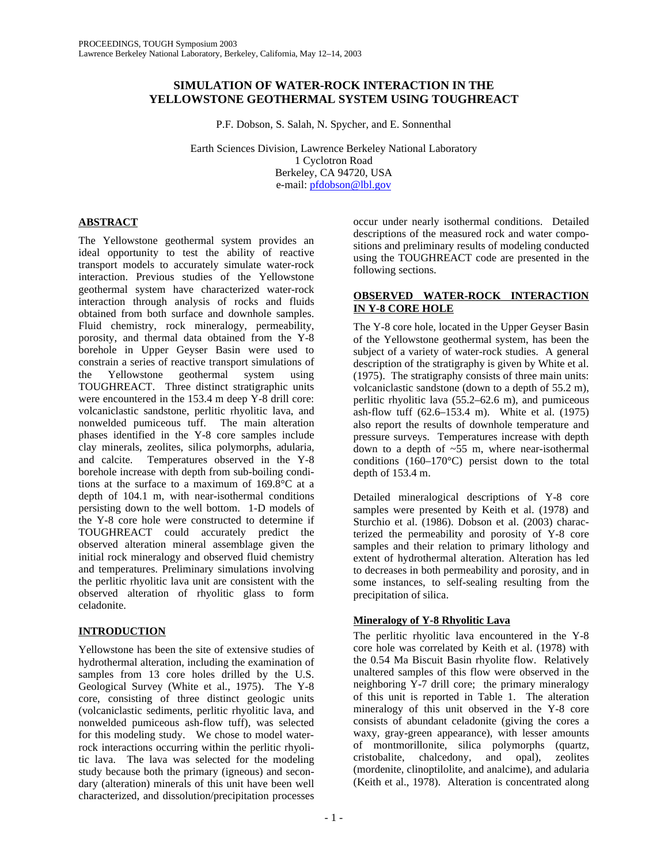# **SIMULATION OF WATER-ROCK INTERACTION IN THE YELLOWSTONE GEOTHERMAL SYSTEM USING TOUGHREACT**

P.F. Dobson, S. Salah, N. Spycher, and E. Sonnenthal

Earth Sciences Division, Lawrence Berkeley National Laboratory 1 Cyclotron Road Berkeley, CA 94720, USA e-mail: pfdobson@lbl.gov

# **ABSTRACT**

The Yellowstone geothermal system provides an ideal opportunity to test the ability of reactive transport models to accurately simulate water-rock interaction. Previous studies of the Yellowstone geothermal system have characterized water-rock interaction through analysis of rocks and fluids obtained from both surface and downhole samples. Fluid chemistry, rock mineralogy, permeability, porosity, and thermal data obtained from the Y-8 borehole in Upper Geyser Basin were used to constrain a series of reactive transport simulations of the Yellowstone geothermal system using TOUGHREACT. Three distinct stratigraphic units were encountered in the 153.4 m deep Y-8 drill core: volcaniclastic sandstone, perlitic rhyolitic lava, and nonwelded pumiceous tuff. The main alteration phases identified in the Y-8 core samples include clay minerals, zeolites, silica polymorphs, adularia, and calcite. Temperatures observed in the Y-8 borehole increase with depth from sub-boiling conditions at the surface to a maximum of 169.8°C at a depth of 104.1 m, with near-isothermal conditions persisting down to the well bottom. 1-D models of the Y-8 core hole were constructed to determine if TOUGHREACT could accurately predict the observed alteration mineral assemblage given the initial rock mineralogy and observed fluid chemistry and temperatures. Preliminary simulations involving the perlitic rhyolitic lava unit are consistent with the observed alteration of rhyolitic glass to form celadonite.

# **INTRODUCTION**

Yellowstone has been the site of extensive studies of hydrothermal alteration, including the examination of samples from 13 core holes drilled by the U.S. Geological Survey (White et al., 1975). The Y-8 core, consisting of three distinct geologic units (volcaniclastic sediments, perlitic rhyolitic lava, and nonwelded pumiceous ash-flow tuff), was selected for this modeling study. We chose to model waterrock interactions occurring within the perlitic rhyolitic lava. The lava was selected for the modeling study because both the primary (igneous) and secondary (alteration) minerals of this unit have been well characterized, and dissolution/precipitation processes

occur under nearly isothermal conditions. Detailed descriptions of the measured rock and water compositions and preliminary results of modeling conducted using the TOUGHREACT code are presented in the following sections.

# **OBSERVED WATER-ROCK INTERACTION IN Y-8 CORE HOLE**

The Y-8 core hole, located in the Upper Geyser Basin of the Yellowstone geothermal system, has been the subject of a variety of water-rock studies. A general description of the stratigraphy is given by White et al. (1975). The stratigraphy consists of three main units: volcaniclastic sandstone (down to a depth of 55.2 m), perlitic rhyolitic lava (55.2–62.6 m), and pumiceous ash-flow tuff (62.6–153.4 m). White et al. (1975) also report the results of downhole temperature and pressure surveys. Temperatures increase with depth down to a depth of ~55 m, where near-isothermal conditions  $(160-170^{\circ}C)$  persist down to the total depth of 153.4 m.

Detailed mineralogical descriptions of Y-8 core samples were presented by Keith et al. (1978) and Sturchio et al. (1986). Dobson et al. (2003) characterized the permeability and porosity of Y-8 core samples and their relation to primary lithology and extent of hydrothermal alteration. Alteration has led to decreases in both permeability and porosity, and in some instances, to self-sealing resulting from the precipitation of silica.

# **Mineralogy of Y-8 Rhyolitic Lava**

The perlitic rhyolitic lava encountered in the Y-8 core hole was correlated by Keith et al. (1978) with the 0.54 Ma Biscuit Basin rhyolite flow. Relatively unaltered samples of this flow were observed in the neighboring Y-7 drill core; the primary mineralogy of this unit is reported in Table 1. The alteration mineralogy of this unit observed in the Y-8 core consists of abundant celadonite (giving the cores a waxy, gray-green appearance), with lesser amounts of montmorillonite, silica polymorphs (quartz, cristobalite, chalcedony, and opal), zeolites (mordenite, clinoptilolite, and analcime), and adularia (Keith et al., 1978). Alteration is concentrated along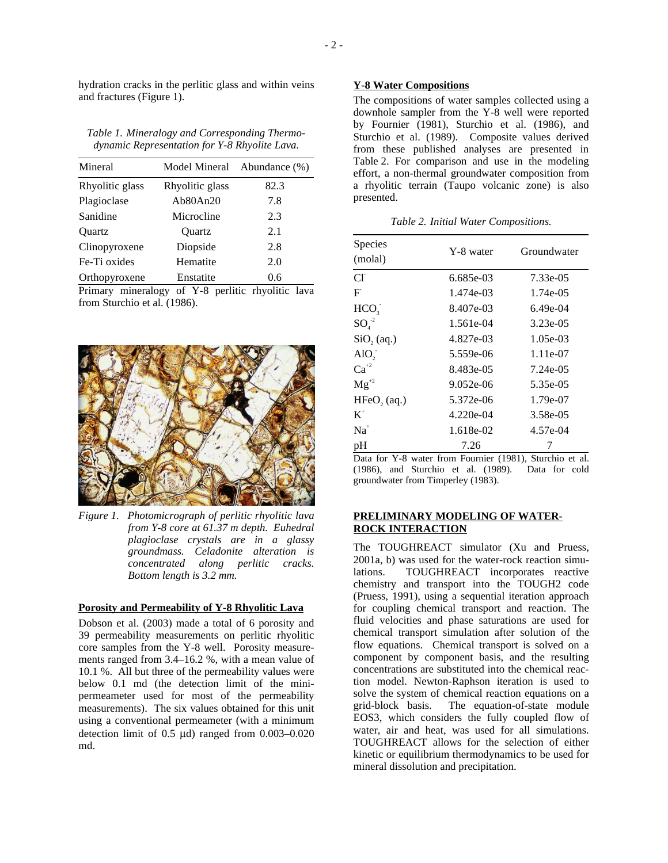hydration cracks in the perlitic glass and within veins and fractures (Figure 1).

*Table 1. Mineralogy and Corresponding Thermodynamic Representation for Y-8 Rhyolite Lava.* 

| Mineral         | Model Mineral   | Abundance (%) |
|-----------------|-----------------|---------------|
| Rhyolitic glass | Rhyolitic glass | 82.3          |
| Plagioclase     | Ab80An20        | 7.8           |
| Sanidine        | Microcline      | 2.3           |
| Ouartz          | Ouartz          | 2.1           |
| Clinopyroxene   | Diopside        | 2.8           |
| Fe-Ti oxides    | Hematite        | 2.0           |
| Orthopyroxene   | Enstatite       | 0.6           |

Primary mineralogy of Y-8 perlitic rhyolitic lava from Sturchio et al. (1986).



*Figure 1. Photomicrograph of perlitic rhyolitic lava from Y-8 core at 61.37 m depth. Euhedral plagioclase crystals are in a glassy groundmass. Celadonite alteration is concentrated along perlitic cracks. Bottom length is 3.2 mm.* 

#### **Porosity and Permeability of Y-8 Rhyolitic Lava**

Dobson et al. (2003) made a total of 6 porosity and 39 permeability measurements on perlitic rhyolitic core samples from the Y-8 well. Porosity measurements ranged from 3.4–16.2 %, with a mean value of 10.1 %. All but three of the permeability values were below 0.1 md (the detection limit of the minipermeameter used for most of the permeability measurements). The six values obtained for this unit using a conventional permeameter (with a minimum detection limit of 0.5 µd) ranged from 0.003–0.020 md.

#### **Y-8 Water Compositions**

The compositions of water samples collected using a downhole sampler from the Y-8 well were reported by Fournier (1981), Sturchio et al. (1986), and Sturchio et al. (1989). Composite values derived from these published analyses are presented in Table 2. For comparison and use in the modeling effort, a non-thermal groundwater composition from a rhyolitic terrain (Taupo volcanic zone) is also presented.

*Table 2. Initial Water Compositions.* 

| Species                    |             | Groundwater |
|----------------------------|-------------|-------------|
| (molal)                    | Y-8 water   |             |
| Сľ                         | 6.685e-03   | 7.33e-05    |
| F                          | 1.474e-03   | 1.74e-05    |
| HCO <sub>3</sub>           | 8.407e-03   | $6.49e-04$  |
| $\mathrm{SO}_4^{-2}$       | 1.561e-04   | $3.23e-0.5$ |
| $SiO$ , (aq.)              | 4.827e-03   | $1.05e-03$  |
| $AIO$ ,                    | 5.559e-06   | 1.11e-07    |
| $\text{Ca}^{42}$           | 8.483e-05   | 7.24e-05    |
| $Mg^{2}$                   | $9.052e-06$ | 5.35e-05    |
| $HFeO2$ (aq.)              | 5.372e-06   | 1.79e-07    |
| $K^{\scriptscriptstyle +}$ | $4.220e-04$ | 3.58e-05    |
| $Na+$                      | 1.618e-02   | 4.57e-04    |
| pH                         | 7.26        | 7           |

Data for Y-8 water from Fournier (1981), Sturchio et al. (1986), and Sturchio et al. (1989). Data for cold groundwater from Timperley (1983).

## **PRELIMINARY MODELING OF WATER-ROCK INTERACTION**

The TOUGHREACT simulator (Xu and Pruess, 2001a, b) was used for the water-rock reaction simulations. TOUGHREACT incorporates reactive chemistry and transport into the TOUGH2 code (Pruess, 1991), using a sequential iteration approach for coupling chemical transport and reaction. The fluid velocities and phase saturations are used for chemical transport simulation after solution of the flow equations. Chemical transport is solved on a component by component basis, and the resulting concentrations are substituted into the chemical reaction model. Newton-Raphson iteration is used to solve the system of chemical reaction equations on a grid-block basis. The equation-of-state module EOS3, which considers the fully coupled flow of water, air and heat, was used for all simulations. TOUGHREACT allows for the selection of either kinetic or equilibrium thermodynamics to be used for mineral dissolution and precipitation.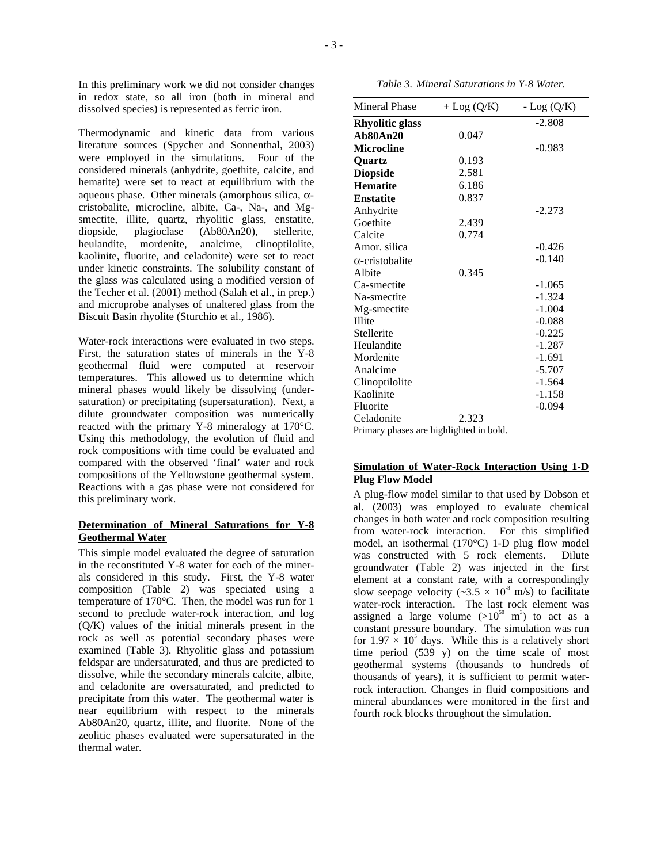In this preliminary work we did not consider changes in redox state, so all iron (both in mineral and dissolved species) is represented as ferric iron.

Thermodynamic and kinetic data from various literature sources (Spycher and Sonnenthal, 2003) were employed in the simulations. Four of the considered minerals (anhydrite, goethite, calcite, and hematite) were set to react at equilibrium with the aqueous phase. Other minerals (amorphous silica, αcristobalite, microcline, albite, Ca-, Na-, and Mgsmectite, illite, quartz, rhyolitic glass, enstatite, diopside, plagioclase (Ab80An20), stellerite, heulandite, mordenite, analcime, clinoptilolite, kaolinite, fluorite, and celadonite) were set to react under kinetic constraints. The solubility constant of the glass was calculated using a modified version of the Techer et al. (2001) method (Salah et al., in prep.) and microprobe analyses of unaltered glass from the Biscuit Basin rhyolite (Sturchio et al., 1986).

Water-rock interactions were evaluated in two steps. First, the saturation states of minerals in the Y-8 geothermal fluid were computed at reservoir temperatures. This allowed us to determine which mineral phases would likely be dissolving (undersaturation) or precipitating (supersaturation). Next, a dilute groundwater composition was numerically reacted with the primary Y-8 mineralogy at 170°C. Using this methodology, the evolution of fluid and rock compositions with time could be evaluated and compared with the observed 'final' water and rock compositions of the Yellowstone geothermal system. Reactions with a gas phase were not considered for this preliminary work.

## **Determination of Mineral Saturations for Y-8 Geothermal Water**

This simple model evaluated the degree of saturation in the reconstituted Y-8 water for each of the minerals considered in this study. First, the Y-8 water composition (Table 2) was speciated using a temperature of 170°C. Then, the model was run for 1 second to preclude water-rock interaction, and log (Q/K) values of the initial minerals present in the rock as well as potential secondary phases were examined (Table 3). Rhyolitic glass and potassium feldspar are undersaturated, and thus are predicted to dissolve, while the secondary minerals calcite, albite, and celadonite are oversaturated, and predicted to precipitate from this water. The geothermal water is near equilibrium with respect to the minerals Ab80An20, quartz, illite, and fluorite. None of the zeolitic phases evaluated were supersaturated in the thermal water.

*Table 3. Mineral Saturations in Y-8 Water.* 

| Mineral Phase          | $+$ Log $(Q/K)$ | $-Log(Q/K)$ |
|------------------------|-----------------|-------------|
| <b>Rhyolitic glass</b> |                 | $-2.808$    |
| Ab80An20               | 0.047           |             |
| <b>Microcline</b>      |                 | $-0.983$    |
| <b>Ouartz</b>          | 0.193           |             |
| <b>Diopside</b>        | 2.581           |             |
| <b>Hematite</b>        | 6.186           |             |
| <b>Enstatite</b>       | 0.837           |             |
| Anhydrite              |                 | $-2.273$    |
| Goethite               | 2.439           |             |
| Calcite                | 0.774           |             |
| Amor. silica           |                 | $-0.426$    |
| $\alpha$ -cristobalite |                 | $-0.140$    |
| Albite                 | 0.345           |             |
| Ca-smectite            |                 | $-1.065$    |
| Na-smectite            |                 | $-1.324$    |
| Mg-smectite            |                 | $-1.004$    |
| <b>Illite</b>          |                 | $-0.088$    |
| Stellerite             |                 | $-0.225$    |
| Heulandite             |                 | $-1.287$    |
| Mordenite              |                 | $-1.691$    |
| Analcime               |                 | $-5.707$    |
| Clinoptilolite         |                 | $-1.564$    |
| Kaolinite              |                 | $-1.158$    |
| Fluorite               |                 | $-0.094$    |
| Celadonite             | 2.323           |             |

Primary phases are highlighted in bold.

## **Simulation of Water-Rock Interaction Using 1-D Plug Flow Model**

A plug-flow model similar to that used by Dobson et al. (2003) was employed to evaluate chemical changes in both water and rock composition resulting from water-rock interaction. For this simplified model, an isothermal (170°C) 1-D plug flow model was constructed with 5 rock elements. Dilute groundwater (Table 2) was injected in the first element at a constant rate, with a correspondingly slow seepage velocity ( $\sim$ 3.5  $\times$  10<sup>s</sup> m/s) to facilitate water-rock interaction. The last rock element was assigned a large volume  $(>10^{50} \text{ m}^3)$  to act as a constant pressure boundary. The simulation was run for  $1.97 \times 10^5$  days. While this is a relatively short time period (539 y) on the time scale of most geothermal systems (thousands to hundreds of thousands of years), it is sufficient to permit waterrock interaction. Changes in fluid compositions and mineral abundances were monitored in the first and fourth rock blocks throughout the simulation.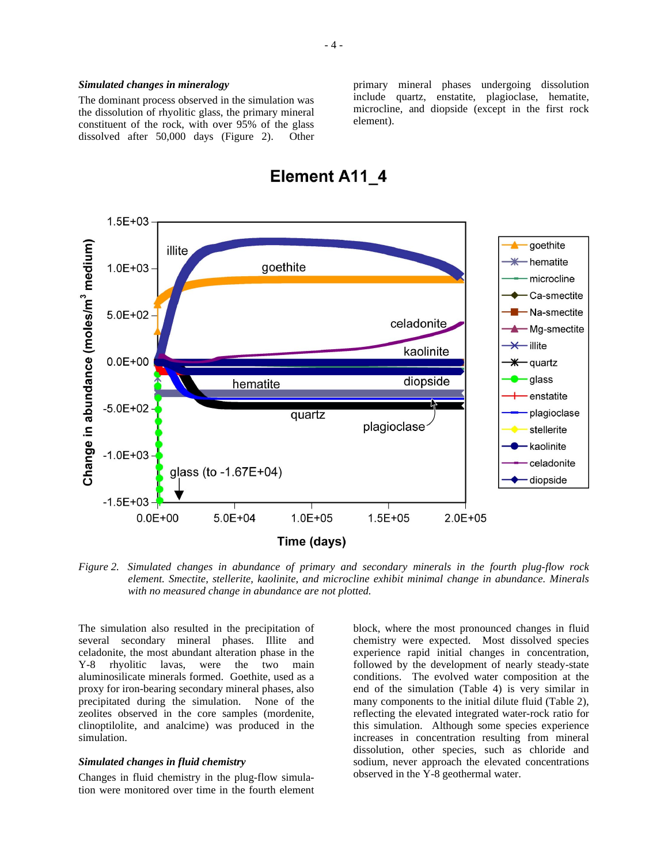The dominant process observed in the simulation was the dissolution of rhyolitic glass, the primary mineral constituent of the rock, with over 95% of the glass dissolved after 50,000 days (Figure 2). Other primary mineral phases undergoing dissolution include quartz, enstatite, plagioclase, hematite, microcline, and diopside (except in the first rock element).



*Figure 2. Simulated changes in abundance of primary and secondary minerals in the fourth plug-flow rock element. Smectite, stellerite, kaolinite, and microcline exhibit minimal change in abundance. Minerals with no measured change in abundance are not plotted.* 

The simulation also resulted in the precipitation of several secondary mineral phases. Illite and celadonite, the most abundant alteration phase in the Y-8 rhyolitic lavas, were the two main aluminosilicate minerals formed. Goethite, used as a proxy for iron-bearing secondary mineral phases, also precipitated during the simulation. None of the zeolites observed in the core samples (mordenite, clinoptilolite, and analcime) was produced in the simulation.

#### *Simulated changes in fluid chemistry*

Changes in fluid chemistry in the plug-flow simulation were monitored over time in the fourth element block, where the most pronounced changes in fluid chemistry were expected. Most dissolved species experience rapid initial changes in concentration, followed by the development of nearly steady-state conditions. The evolved water composition at the end of the simulation (Table 4) is very similar in many components to the initial dilute fluid (Table 2), reflecting the elevated integrated water-rock ratio for this simulation. Although some species experience increases in concentration resulting from mineral dissolution, other species, such as chloride and sodium, never approach the elevated concentrations observed in the Y-8 geothermal water.

# **Element A11 4**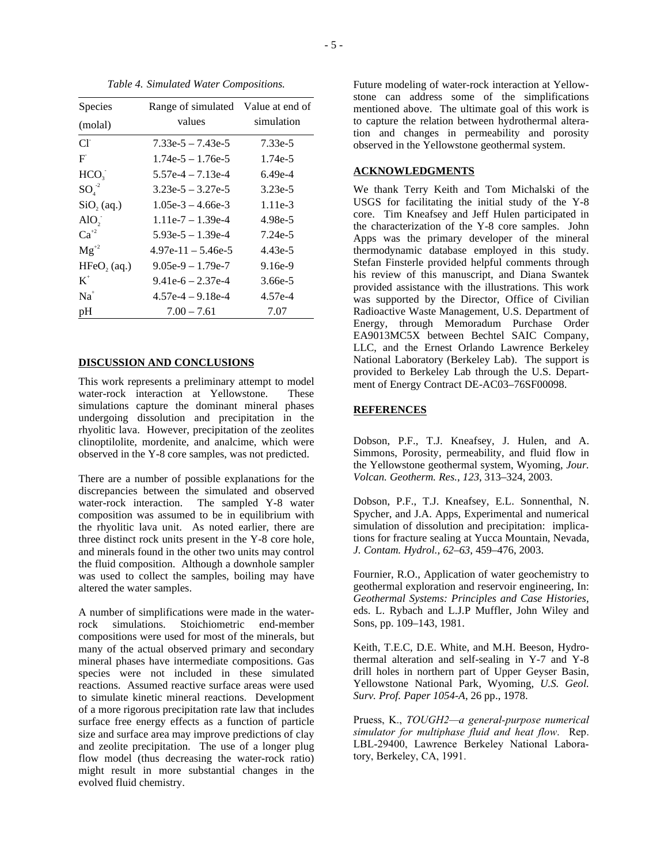| <b>Species</b>       | Range of simulated Value at end of |            |
|----------------------|------------------------------------|------------|
| (molal)              | values                             | simulation |
| CI                   | $7.33e-5 - 7.43e-5$                | 7.33e-5    |
| F                    | $1.74e-5 - 1.76e-5$                | 1.74e-5    |
| HCO <sub>2</sub>     | $5.57e-4 - 7.13e-4$                | $6.49e-4$  |
| $\mathrm{SO}_4^{-2}$ | $3.23e-5 - 3.27e-5$                | $3.23e-5$  |
| $SiO$ , (aq.)        | $1.05e-3 - 4.66e-3$                | $1.11e-3$  |
| $AIO$ ,              | $1.11e-7 - 1.39e-4$                | $4.98e-5$  |
| $Ca^{+2}$            | $5.93e-5 - 1.39e-4$                | 7.24e-5    |
| $Mg^{+2}$            | $4.97e-11 - 5.46e-5$               | 4.43e-5    |
| $HFeO$ , $(aq.)$     | $9.05e-9 - 1.79e-7$                | $9.16e-9$  |
| $K^+$                | $9.41e-6 - 2.37e-4$                | 3.66e-5    |
| $Na+$                | $4.57e-4 - 9.18e-4$                | $4.57e-4$  |
| pH                   | $7.00 - 7.61$                      | 7.07       |

*Table 4. Simulated Water Compositions.* 

### **DISCUSSION AND CONCLUSIONS**

This work represents a preliminary attempt to model water-rock interaction at Yellowstone. These simulations capture the dominant mineral phases undergoing dissolution and precipitation in the rhyolitic lava. However, precipitation of the zeolites clinoptilolite, mordenite, and analcime, which were observed in the Y-8 core samples, was not predicted.

There are a number of possible explanations for the discrepancies between the simulated and observed water-rock interaction. The sampled Y-8 water composition was assumed to be in equilibrium with the rhyolitic lava unit. As noted earlier, there are three distinct rock units present in the Y-8 core hole, and minerals found in the other two units may control the fluid composition. Although a downhole sampler was used to collect the samples, boiling may have altered the water samples.

A number of simplifications were made in the waterrock simulations. Stoichiometric end-member compositions were used for most of the minerals, but many of the actual observed primary and secondary mineral phases have intermediate compositions. Gas species were not included in these simulated reactions. Assumed reactive surface areas were used to simulate kinetic mineral reactions. Development of a more rigorous precipitation rate law that includes surface free energy effects as a function of particle size and surface area may improve predictions of clay and zeolite precipitation. The use of a longer plug flow model (thus decreasing the water-rock ratio) might result in more substantial changes in the evolved fluid chemistry.

Future modeling of water-rock interaction at Yellowstone can address some of the simplifications mentioned above. The ultimate goal of this work is to capture the relation between hydrothermal alteration and changes in permeability and porosity observed in the Yellowstone geothermal system.

## **ACKNOWLEDGMENTS**

We thank Terry Keith and Tom Michalski of the USGS for facilitating the initial study of the Y-8 core. Tim Kneafsey and Jeff Hulen participated in the characterization of the Y-8 core samples. John Apps was the primary developer of the mineral thermodynamic database employed in this study. Stefan Finsterle provided helpful comments through his review of this manuscript, and Diana Swantek provided assistance with the illustrations. This work was supported by the Director, Office of Civilian Radioactive Waste Management, U.S. Department of Energy, through Memoradum Purchase Order EA9013MC5X between Bechtel SAIC Company, LLC, and the Ernest Orlando Lawrence Berkeley National Laboratory (Berkeley Lab). The support is provided to Berkeley Lab through the U.S. Department of Energy Contract DE-AC03–76SF00098.

#### **REFERENCES**

Dobson, P.F., T.J. Kneafsey, J. Hulen, and A. Simmons, Porosity, permeability, and fluid flow in the Yellowstone geothermal system, Wyoming, *Jour. Volcan. Geotherm. Res.*, *123*, 313–324, 2003.

Dobson, P.F., T.J. Kneafsey, E.L. Sonnenthal, N. Spycher, and J.A. Apps, Experimental and numerical simulation of dissolution and precipitation: implications for fracture sealing at Yucca Mountain, Nevada, *J. Contam. Hydrol., 62–63*, 459–476, 2003.

Fournier, R.O., Application of water geochemistry to geothermal exploration and reservoir engineering, In: *Geothermal Systems: Principles and Case Histories,*  eds. L. Rybach and L.J.P Muffler, John Wiley and Sons, pp. 109–143, 1981.

Keith, T.E.C, D.E. White, and M.H. Beeson, Hydrothermal alteration and self-sealing in Y-7 and Y-8 drill holes in northern part of Upper Geyser Basin, Yellowstone National Park, Wyoming, *U.S. Geol. Surv. Prof. Paper 1054-A*, 26 pp., 1978.

Pruess, K., *TOUGH2—a general-purpose numerical simulator for multiphase fluid and heat flow*. Rep. LBL-29400, Lawrence Berkeley National Laboratory, Berkeley, CA, 1991.